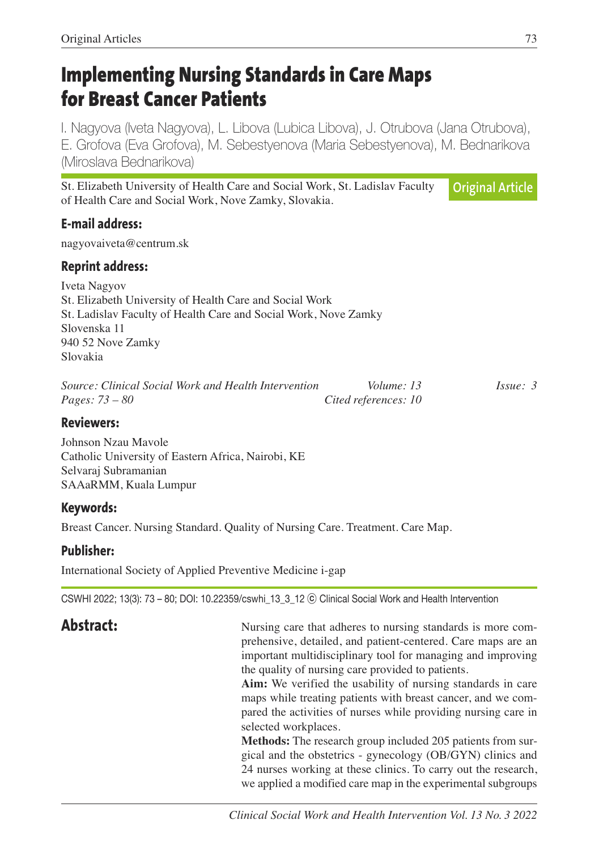# **Implementing Nursing Standards in Care Maps for Breast Cancer Patients**

I. Nagyova (Iveta Nagyova), L. Libova (Lubica Libova), J. Otrubova (Jana Otrubova), E. Grofova (Eva Grofova), M. Sebestyenova (Maria Sebestyenova), M. Bednarikova (Miroslava Bednarikova)

St. Elizabeth University of Health Care and Social Work, St. Ladislav Faculty of Health Care and Social Work, Nove Zamky, Slovakia. **Original Article**

## **E-mail address:**

nagyovaiveta@centrum.sk

### **Reprint address:**

Iveta Nagyov St. Elizabeth University of Health Care and Social Work St. Ladislav Faculty of Health Care and Social Work, Nove Zamky Slovenska 11 940 52 Nove Zamky Slovakia

*Source: Clinical Social Work and Health Intervention Volume: 13 Issue: 3 Pages: 73 – 80 Cited references: 10*

#### **Reviewers:**

Johnson Nzau Mavole Catholic University of Eastern Africa, Nairobi, KE Selvaraj Subramanian SAAaRMM, Kuala Lumpur

### **Keywords:**

Breast Cancer. Nursing Standard. Quality of Nursing Care. Treatment. Care Map.

### **Publisher:**

International Society of Applied Preventive Medicine i-gap

CSWHI 2022; 13(3): 73 – 80; DOI: 10.22359/cswhi\_13\_3\_12 ⓒ Clinical Social Work and Health Intervention

**Abstract:** Nursing care that adheres to nursing standards is more comprehensive, detailed, and patient-centered. Care maps are an important multidisciplinary tool for managing and improving the quality of nursing care provided to patients.

 **Aim:** We verified the usability of nursing standards in care maps while treating patients with breast cancer, and we compared the activities of nurses while providing nursing care in selected workplaces.

 **Methods:** The research group included 205 patients from surgical and the obstetrics - gynecology (OB/GYN) clinics and 24 nurses working at these clinics. To carry out the research, we applied a modified care map in the experimental subgroups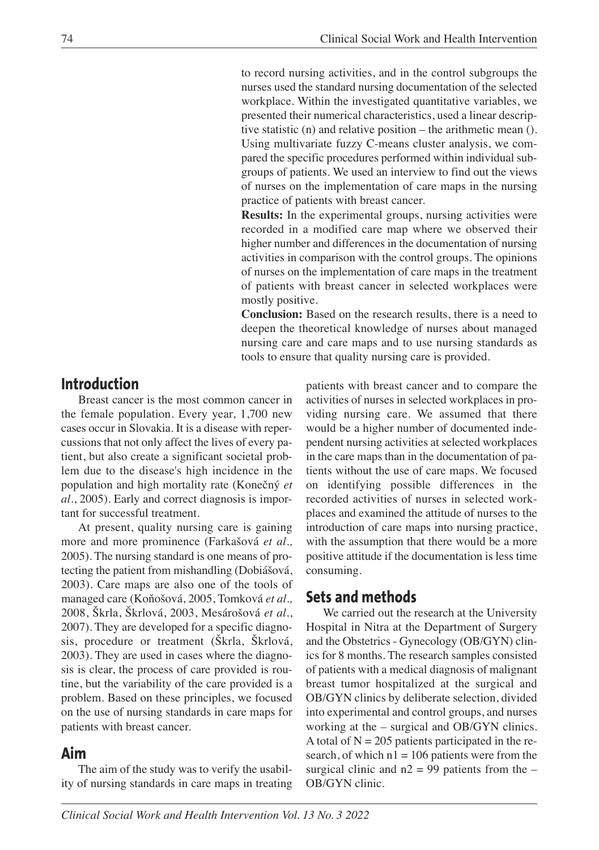to record nursing activities, and in the control subgroups the nurses used the standard nursing documentation of the selected workplace. Within the investigated quantitative variables, we presented their numerical characteristics, used a linear descriptive statistic (n) and relative position – the arithmetic mean (). Using multivariate fuzzy C-means cluster analysis, we compared the specific procedures performed within individual subgroups of patients. We used an interview to find out the views of nurses on the implementation of care maps in the nursing practice of patients with breast cancer.

 **Results:** In the experimental groups, nursing activities were recorded in a modified care map where we observed their higher number and differences in the documentation of nursing activities in comparison with the control groups. The opinions of nurses on the implementation of care maps in the treatment of patients with breast cancer in selected workplaces were mostly positive.

 **Conclusion:** Based on the research results, there is a need to deepen the theoretical knowledge of nurses about managed nursing care and care maps and to use nursing standards as tools to ensure that quality nursing care is provided.

# **Introduction**

Breast cancer is the most common cancer in the female population. Every year, 1,700 new cases occur in Slovakia. It is a disease with repercussions that not only affect the lives of every patient, but also create a significant societal problem due to the disease's high incidence in the population and high mortality rate (Konečný *et al*., 2005). Early and correct diagnosis is important for successful treatment.

At present, quality nursing care is gaining more and more prominence (Farkašová *et al.,* 2005). The nursing standard is one means of protecting the patient from mishandling (Dobiášová, 2003). Care maps are also one of the tools of managed care (Koňošová, 2005, Tomková *et al.,* 2008, Škrla, Škrlová, 2003, Mesárošová *et al*., 2007). They are developed for a specific diagnosis, procedure or treatment (Škrla, Škrlová, 2003). They are used in cases where the diagnosis is clear, the process of care provided is routine, but the variability of the care provided is a problem. Based on these principles, we focused on the use of nursing standards in care maps for patients with breast cancer.

### **Aim**

The aim of the study was to verify the usability of nursing standards in care maps in treating patients with breast cancer and to compare the activities of nurses in selected workplaces in providing nursing care. We assumed that there would be a higher number of documented independent nursing activities at selected workplaces in the care maps than in the documentation of patients without the use of care maps. We focused on identifying possible differences in the recorded activities of nurses in selected workplaces and examined the attitude of nurses to the introduction of care maps into nursing practice, with the assumption that there would be a more positive attitude if the documentation is less time consuming.

# **Sets and methods**

We carried out the research at the University Hospital in Nitra at the Department of Surgery and the Obstetrics - Gynecology (OB/GYN) clinics for 8 months. The research samples consisted of patients with a medical diagnosis of malignant breast tumor hospitalized at the surgical and OB/GYN clinics by deliberate selection, divided into experimental and control groups, and nurses working at the – surgical and OB/GYN clinics. A total of  $N = 205$  patients participated in the research, of which  $n1 = 106$  patients were from the surgical clinic and  $n2 = 99$  patients from the – OB/GYN clinic.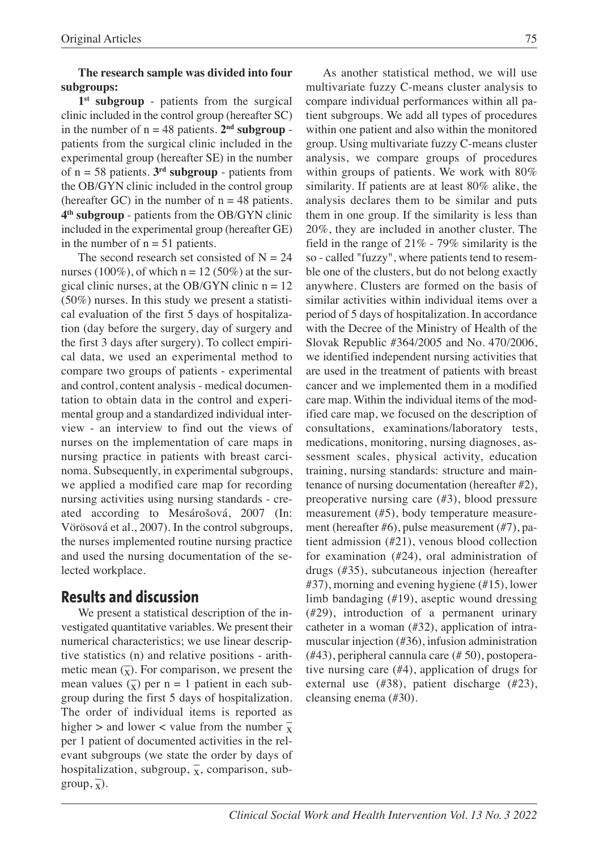#### **The research sample was divided into four subgroups:**

**1st subgroup** - patients from the surgical clinic included in the control group (hereafter SC) in the number of  $n = 48$  patients.  $2<sup>nd</sup>$  **subgroup** patients from the surgical clinic included in the experimental group (hereafter SE) in the number of  $n = 58$  patients.  $3<sup>rd</sup>$  **subgroup** - patients from the OB/GYN clinic included in the control group (hereafter GC) in the number of  $n = 48$  patients. **4th subgroup** - patients from the OB/GYN clinic included in the experimental group (hereafter GE) in the number of  $n = 51$  patients.

The second research set consisted of  $N = 24$ nurses (100%), of which  $n = 12 (50%)$  at the surgical clinic nurses, at the OB/GYN clinic  $n = 12$ (50%) nurses. In this study we present a statistical evaluation of the first 5 days of hospitalization (day before the surgery, day of surgery and the first 3 days after surgery). To collect empirical data, we used an experimental method to compare two groups of patients - experimental and control, content analysis - medical documentation to obtain data in the control and experimental group and a standardized individual interview - an interview to find out the views of nurses on the implementation of care maps in nursing practice in patients with breast carcinoma. Subsequently, in experimental subgroups, we applied a modified care map for recording nursing activities using nursing standards - created according to Mesárošová, 2007 (In: Vörösová et al., 2007). In the control subgroups, the nurses implemented routine nursing practice and used the nursing documentation of the selected workplace.

# **Results and discussion**

We present a statistical description of the investigated quantitative variables. We present their numerical characteristics; we use linear descriptive statistics (n) and relative positions - arithmetic mean  $\overline{(x)}$ . For comparison, we present the mean values  $\overline{(\overline{x})}$  per n = 1 patient in each subgroup during the first 5 days of hospitalization. The order of individual items is reported as higher  $>$  and lower < value from the number  $\frac{1}{x}$ per 1 patient of documented activities in the relevant subgroups (we state the order by days of hospitalization, subgroup,  $\overline{x}$ , comparison, sub- $\text{group}, \overline{x}$ ).

As another statistical method, we will use multivariate fuzzy C-means cluster analysis to compare individual performances within all patient subgroups. We add all types of procedures within one patient and also within the monitored group. Using multivariate fuzzy C-means cluster analysis, we compare groups of procedures within groups of patients. We work with 80% similarity. If patients are at least 80% alike, the analysis declares them to be similar and puts them in one group. If the similarity is less than 20%, they are included in another cluster. The field in the range of 21% - 79% similarity is the so - called "fuzzy", where patients tend to resemble one of the clusters, but do not belong exactly anywhere. Clusters are formed on the basis of similar activities within individual items over a period of 5 days of hospitalization. In accordance with the Decree of the Ministry of Health of the Slovak Republic #364/2005 and No. 470/2006, we identified independent nursing activities that are used in the treatment of patients with breast cancer and we implemented them in a modified care map. Within the individual items of the modified care map, we focused on the description of consultations, examinations/laboratory tests, medications, monitoring, nursing diagnoses, assessment scales, physical activity, education training, nursing standards: structure and maintenance of nursing documentation (hereafter #2), preoperative nursing care (#3), blood pressure measurement (#5), body temperature measurement (hereafter #6), pulse measurement (#7), patient admission (#21), venous blood collection for examination (#24), oral administration of drugs (#35), subcutaneous injection (hereafter #37), morning and evening hygiene (#15), lower limb bandaging (#19), aseptic wound dressing (#29), introduction of a permanent urinary catheter in a woman (#32), application of intramuscular injection (#36), infusion administration (#43), peripheral cannula care (# 50), postoperative nursing care (#4), application of drugs for external use (#38), patient discharge (#23), cleansing enema (#30).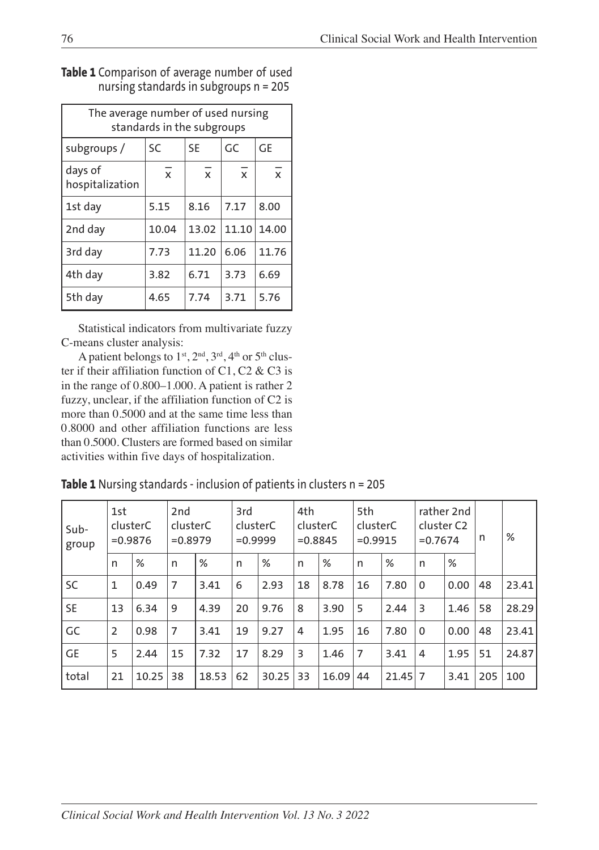| The average number of used nursing<br>standards in the subgroups |              |                |                |                |  |  |  |
|------------------------------------------------------------------|--------------|----------------|----------------|----------------|--|--|--|
| subgroups /                                                      | SC           | <b>SE</b>      | GC             | GE             |  |  |  |
| days of<br>hospitalization                                       | $\mathbf{x}$ | $\overline{x}$ | $\overline{x}$ | $\overline{x}$ |  |  |  |
| 1st day                                                          | 5.15         | 8.16           | 7.17           | 8.00           |  |  |  |
| 2nd day                                                          | 10.04        | 13.02          | 11.10          | 14.00          |  |  |  |
| 3rd day                                                          | 7.73         | 11.20          | 6.06           | 11.76          |  |  |  |
| 4th day                                                          | 3.82         | 6.71           | 3.73           | 6.69           |  |  |  |
| 5th day                                                          | 4.65         | 7.74           | 3.71           | 5.76           |  |  |  |

#### **Table 1** Comparison of average number of used nursing standards in subgroups n = 205

Statistical indicators from multivariate fuzzy C-means cluster analysis:

A patient belongs to  $1^{st}$ ,  $2^{nd}$ ,  $3^{rd}$ ,  $4^{th}$  or  $5^{th}$  cluster if their affiliation function of C1, C2  $\&$  C3 is in the range of 0.800–1.000. A patient is rather 2 fuzzy, unclear, if the affiliation function of C2 is more than 0.5000 and at the same time less than 0.8000 and other affiliation functions are less than 0.5000. Clusters are formed based on similar activities within five days of hospitalization.

### **Table 1** Nursing standards - inclusion of patients in clusters n = 205

| Sub-<br>group | 1st<br>clusterC<br>$= 0.9876$ |       | 2nd<br>clusterC<br>$= 0.8979$ |       | 3rd<br>clusterC<br>$= 0.9999$ |       | 4th<br>clusterC<br>$= 0.8845$ |       | 5th<br>clusterC<br>$= 0.9915$ |             | rather 2nd<br>cluster C <sub>2</sub><br>$= 0.7674$ |      | n   | %     |
|---------------|-------------------------------|-------|-------------------------------|-------|-------------------------------|-------|-------------------------------|-------|-------------------------------|-------------|----------------------------------------------------|------|-----|-------|
|               | n                             | %     | n                             | %     | n                             | %     | n                             | %     | n                             | %           | n                                                  | %    |     |       |
| <b>SC</b>     | $\mathbf{1}$                  | 0.49  | 7                             | 3.41  | 6                             | 2.93  | 18                            | 8.78  | 16                            | 7.80        | $\mathbf 0$                                        | 0.00 | 48  | 23.41 |
| <b>SE</b>     | 13                            | 6.34  | 9                             | 4.39  | 20                            | 9.76  | 8                             | 3.90  | 5                             | 2.44        | 3                                                  | 1.46 | 58  | 28.29 |
| GC            | $\overline{2}$                | 0.98  | 7                             | 3.41  | 19                            | 9.27  | $\overline{4}$                | 1.95  | 16                            | 7.80        | $\mathbf 0$                                        | 0.00 | 48  | 23.41 |
| <b>GE</b>     | 5                             | 2.44  | 15                            | 7.32  | 17                            | 8.29  | 3                             | 1.46  | 7                             | 3.41        | 4                                                  | 1.95 | 51  | 24.87 |
| total         | 21                            | 10.25 | 38                            | 18.53 | 62                            | 30.25 | 33                            | 16.09 | 44                            | $21.45$   7 |                                                    | 3.41 | 205 | 100   |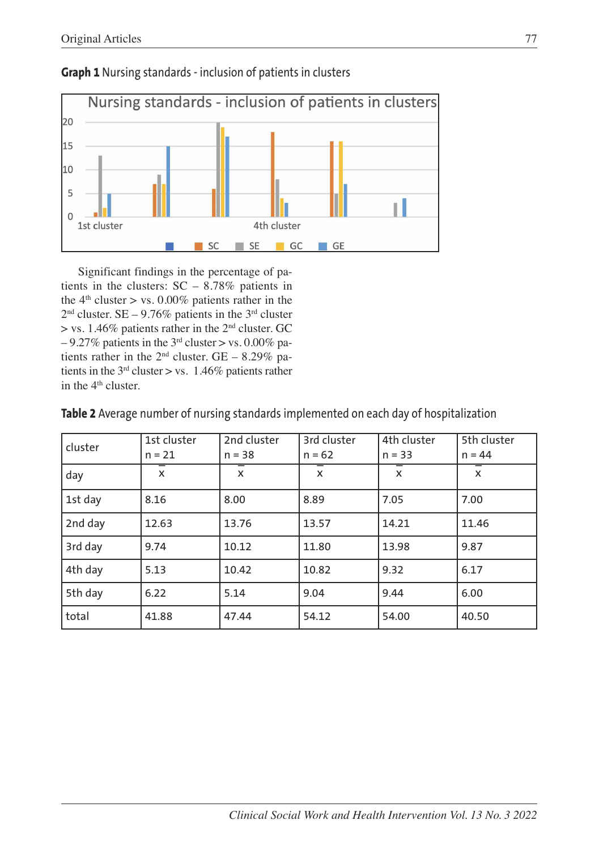

**Graph 1** Nursing standards - inclusion of patients in clusters

Significant findings in the percentage of patients in the clusters: SC – 8.78% patients in the  $4<sup>th</sup> cluster > vs. 0.00\% patients rather in the$  $2<sup>nd</sup> cluster. SE - 9.76\% patients in the 3<sup>rd</sup> cluster.$  $>$  vs. 1.46% patients rather in the 2<sup>nd</sup> cluster. GC  $-9.27\%$  patients in the 3<sup>rd</sup> cluster > vs. 0.00% patients rather in the  $2<sup>nd</sup>$  cluster. GE – 8.29% patients in the  $3<sup>rd</sup>$  cluster > vs. 1.46% patients rather in the  $4<sup>th</sup>$  cluster.

cluster 1st cluster  $n = 21$ 2nd cluster  $n = 38$ 3rd cluster  $n = 62$ 4th cluster  $n = 33$ 5th cluster  $n = 44$ day x  $\overline{\mathbf{x}}$   $\overline{\mathbf{x}}$  $\overline{\mathbf{x}}$   $\overline{\mathbf{x}}$  $\frac{1}{x}$   $\frac{1}{x}$  $\overline{x}$   $\overline{x}$   $\overline{x}$  $\mathbf{x}$ 1st day | 8.16 | 8.00 | 8.89 | 7.05 | 7.00 2nd day | 12.63 | 13.76 | 13.57 | 14.21 | 11.46 3rd day | 9.74 | 10.12 | 11.80 | 13.98 | 9.87 4th day 5.13 10.42 10.82 9.32 6.17 5th day 6.22 5.14 9.04 9.44 6.00 total 41.88 47.44 54.12 54.00 40.50

**Table 2** Average number of nursing standards implemented on each day of hospitalization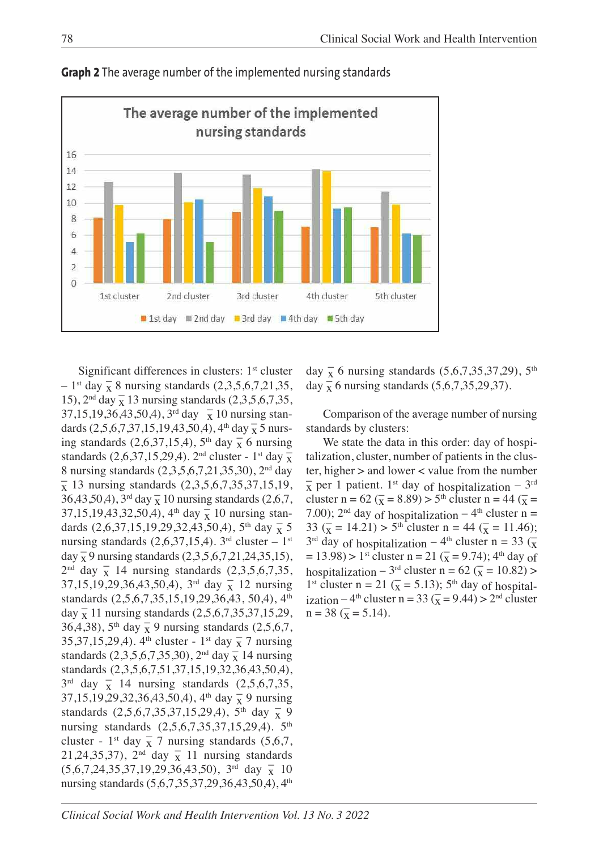

**Graph 2** The average number of the implemented nursing standards

Significant differences in clusters: 1<sup>st</sup> cluster  $-1$ <sup>st</sup> day  $\frac{1}{x}$  8 nursing standards (2,3,5,6,7,21,35, 15),  $2<sup>nd</sup> day \frac{1}{x}$  13 nursing standards  $(2,3,5,6,7,35,$  $37,15,19,36,43,50,4$ ,  $3^{rd}$  day  $\bar{x}$  10 nursing standards  $(2,5,6,7,37,15,19,43,50,4)$ , 4<sup>th</sup> day  $\frac{1}{x}$  5 nursing standards (2,6,37,15,4), 5<sup>th</sup> day  $\frac{1}{x}$  6 nursing standards  $(2, 6, 37, 15, 29, 4)$ . 2<sup>nd</sup> cluster - 1<sup>st</sup> day  $\frac{8}{x}$ 8 nursing standards (2,3,5,6,7,21,35,30), 2nd day  $\bar{x}$  13 nursing standards (2,3,5,6,7,35,37,15,19,  $36,43,50,4$ ,  $3^{\text{rd}}$  day  $\frac{1}{x}$  10 nursing standards (2,6,7,  $37,15,19,43,32,50,4$ ,  $4^{\text{th}}$  day  $\frac{6}{x}$  10 nursing standards  $(2,6,37,15,19,29,32,43,50,4)$ , 5<sup>th</sup> day  $\bar{x}$  5 nursing standards  $(2,6,37,15,4)$ . 3<sup>rd</sup> cluster – 1<sup>st</sup> day  $\frac{1}{x}$  9 nursing standards (2,3,5,6,7,21,24,35,15),  $2<sup>nd</sup>$  day  $\overline{x}$  14 nursing standards (2,3,5,6,7,35,  $37,15,19,29,36,43,50,4$ ,  $3^{rd}$  day  $\frac{1}{x}$  12 nursing standards (2,5,6,7,35,15,19,29,36,43, 50,4), 4<sup>th</sup> day  $\frac{1}{x}$  11 nursing standards (2,5,6,7,35,37,15,29, 36,4,38), 5<sup>th</sup> day  $\frac{1}{x}$  9 nursing standards (2,5,6,7, 35,37,15,29,4).  $4^{\text{th}}$  cluster - 1<sup>st</sup> day  $\frac{1}{x}$  7 nursing standards  $(2,3,5,6,7,35,30)$ ,  $2^{nd}$  day  $\frac{1}{x}$  14 nursing standards (2,3,5,6,7,51,37,15,19,32,36,43,50,4),  $3^{rd}$  day  $\frac{1}{x}$  14 nursing standards  $(2,5,6,7,35)$ 37,15,19,29,32,36,43,50,4), 4<sup>th</sup> day  $\overline{x}$  9 nursing standards  $(2,5,6,7,35,37,15,29,4)$ ,  $5^{\text{th}}$  day  $\frac{1}{x}$  9 nursing standards (2,5,6,7,35,37,15,29,4). 5<sup>th</sup> cluster - 1<sup>st</sup> day  $\overline{x}$  7 nursing standards (5,6,7, 21,24,35,37),  $2<sup>nd</sup>$  day  $\frac{1}{x}$  11 nursing standards  $(5,6,7,24,35,37,19,29,36,43,50)$ ,  $3^{rd}$  day  $\overline{x}$  10 nursing standards (5,6,7,35,37,29,36,43,50,4), 4<sup>th</sup>

day  $\overline{\mathbf{x}}$  6 nursing standards (5,6,7,35,37,29), 5<sup>th</sup> day  $\frac{1}{x}$  6 nursing standards (5,6,7,35,29,37).

Comparison of the average number of nursing standards by clusters:

We state the data in this order: day of hospitalization, cluster, number of patients in the cluster, higher > and lower < value from the number  $\overline{x}$  per 1 patient. 1<sup>st</sup> day of hospitalization – 3<sup>rd</sup> cluster n =  $62 (\bar{x} = 8.89) > 5^{\text{th}}$  cluster n =  $44 (\bar{x} =$ 7.00);  $2<sup>nd</sup>$  day of hospitalization –  $4<sup>th</sup>$  cluster n = 33 ( $\overline{x}$  = 14.21) > 5<sup>th</sup> cluster n = 44 ( $\overline{x}$  = 11.46);  $3<sup>rd</sup>$  day of hospitalization – 4<sup>th</sup> cluster n = 33 ( $\frac{\pi}{8}$ )  $= 13.98$ ) > 1<sup>st</sup> cluster n = 21 ( $\bar{x}$  = 9.74); 4<sup>th</sup> day of hospitalization – 3<sup>rd</sup> cluster n = 62 ( $\overline{x}$  = 10.82) > 1<sup>st</sup> cluster n = 21 ( $\bar{x}$  = 5.13); 5<sup>th</sup> day of hospitalization – 4<sup>th</sup> cluster n = 33 ( $\overline{x}$  = 9.44) > 2<sup>nd</sup> cluster  $n = 38$  ( $\overline{x} = 5.14$ ).

*Clinical Social Work and Health Intervention Vol. 13 No. 3 2022*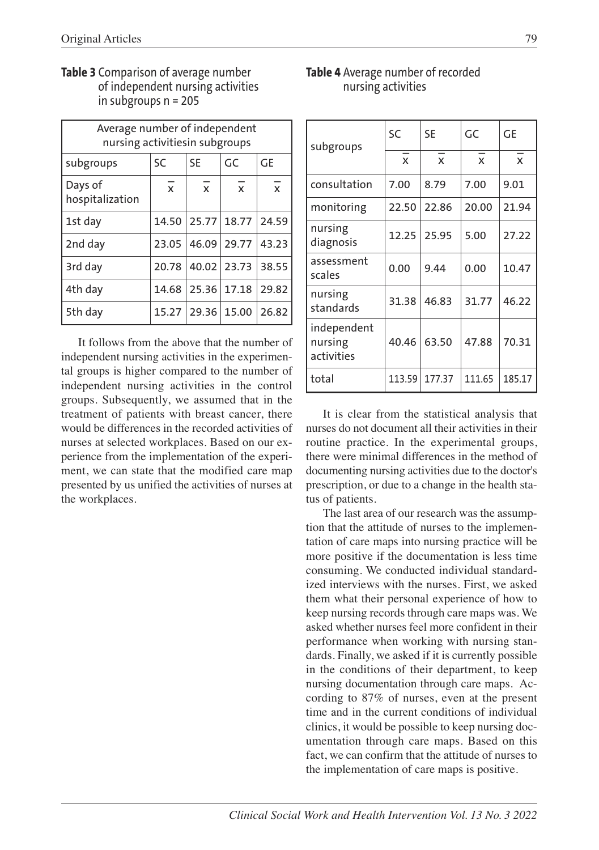| Average number of independent<br>nursing activitiesin subgroups |                 |                |              |                |  |  |  |
|-----------------------------------------------------------------|-----------------|----------------|--------------|----------------|--|--|--|
| subgroups                                                       | <b>SC</b><br>SF |                | GC           | GF             |  |  |  |
| Days of<br>hospitalization                                      | $\overline{x}$  | $\overline{x}$ | $\mathbf{x}$ | $\overline{x}$ |  |  |  |
| 1st day                                                         | 14.50           | 25.77          | 18.77        | 24.59          |  |  |  |
| 2nd day                                                         | 23.05           | 46.09          | 29.77        | 43.23          |  |  |  |
| 3rd day                                                         | 20.78           |                | 40.02 23.73  | 38.55          |  |  |  |
| 4th day                                                         | 14.68           | 25.36          | 17.18        | 29.82          |  |  |  |
| 5th day                                                         | 15.27           | 29.36          | 15.00        | 26.82          |  |  |  |

#### **Table 3** Comparison of average number of independent nursing activities in subgroups n = 205

It follows from the above that the number of independent nursing activities in the experimental groups is higher compared to the number of independent nursing activities in the control groups. Subsequently, we assumed that in the treatment of patients with breast cancer, there would be differences in the recorded activities of nurses at selected workplaces. Based on our experience from the implementation of the experiment, we can state that the modified care map presented by us unified the activities of nurses at the workplaces.

#### **Table 4** Average number of recorded nursing activities

| subgroups                            | SC           | <b>SE</b>    | GC           | GE           |  |
|--------------------------------------|--------------|--------------|--------------|--------------|--|
|                                      | $\mathsf{x}$ | $\mathsf{x}$ | $\mathsf{x}$ | $\mathsf{x}$ |  |
| consultation                         | 7.00         | 8.79         | 7.00         | 9.01         |  |
| monitoring                           | 22.50        | 22.86        | 20.00        | 21.94        |  |
| nursing<br>diagnosis                 | 12.25        | 25.95        | 5.00         | 27.22        |  |
| assessment<br>scales                 | 0.00         | 9.44         | 0.00         | 10.47        |  |
| nursing<br>standards                 | 31.38        | 46.83        | 31.77        | 46.22        |  |
| independent<br>nursing<br>activities | 40.46        | 63.50        | 47.88        | 70.31        |  |
| total                                | 113.59       | 177.37       | 111.65       | 185.17       |  |

It is clear from the statistical analysis that nurses do not document all their activities in their routine practice. In the experimental groups, there were minimal differences in the method of documenting nursing activities due to the doctor's prescription, or due to a change in the health status of patients.

The last area of our research was the assumption that the attitude of nurses to the implementation of care maps into nursing practice will be more positive if the documentation is less time consuming. We conducted individual standardized interviews with the nurses. First, we asked them what their personal experience of how to keep nursing records through care maps was. We asked whether nurses feel more confident in their performance when working with nursing standards. Finally, we asked if it is currently possible in the conditions of their department, to keep nursing documentation through care maps. According to 87% of nurses, even at the present time and in the current conditions of individual clinics, it would be possible to keep nursing documentation through care maps. Based on this fact, we can confirm that the attitude of nurses to the implementation of care maps is positive.